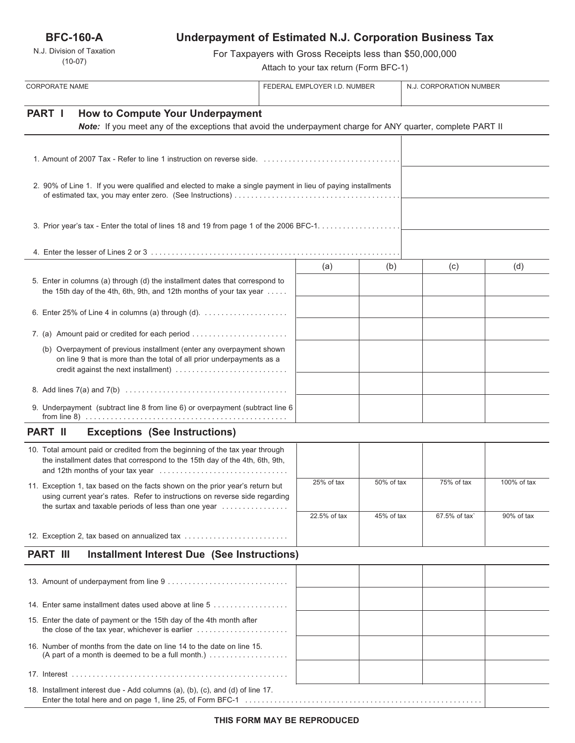**BFC-160-A**

N.J. Division of Taxation (10-07)

# **Underpayment of Estimated N.J. Corporation Business Tax**

For Taxpayers with Gross Receipts less than \$50,000,000

Attach to your tax return (Form BFC-1)

| <b>CORPORATE NAME</b>                                                                                                                                                                                                                           | FEDERAL EMPLOYER I.D. NUMBER |              |            | N.J. CORPORATION NUMBER |             |
|-------------------------------------------------------------------------------------------------------------------------------------------------------------------------------------------------------------------------------------------------|------------------------------|--------------|------------|-------------------------|-------------|
| PART I<br><b>How to Compute Your Underpayment</b><br>Note: If you meet any of the exceptions that avoid the underpayment charge for ANY quarter, complete PART II                                                                               |                              |              |            |                         |             |
|                                                                                                                                                                                                                                                 |                              |              |            |                         |             |
| 2. 90% of Line 1. If you were qualified and elected to make a single payment in lieu of paying installments                                                                                                                                     |                              |              |            |                         |             |
|                                                                                                                                                                                                                                                 |                              |              |            |                         |             |
|                                                                                                                                                                                                                                                 |                              |              |            |                         |             |
| 5. Enter in columns (a) through (d) the installment dates that correspond to<br>the 15th day of the 4th, 6th, 9th, and 12th months of your tax year                                                                                             |                              | (a)          | (b)        | (c)                     | (d)         |
| 6. Enter 25% of Line 4 in columns (a) through (d). $\ldots$                                                                                                                                                                                     |                              |              |            |                         |             |
| 7. (a) Amount paid or credited for each period                                                                                                                                                                                                  |                              |              |            |                         |             |
| (b) Overpayment of previous installment (enter any overpayment shown<br>on line 9 that is more than the total of all prior underpayments as a                                                                                                   |                              |              |            |                         |             |
|                                                                                                                                                                                                                                                 |                              |              |            |                         |             |
| 9. Underpayment (subtract line 8 from line 6) or overpayment (subtract line 6                                                                                                                                                                   |                              |              |            |                         |             |
| <b>PART II</b><br><b>Exceptions (See Instructions)</b>                                                                                                                                                                                          |                              |              |            |                         |             |
| 10. Total amount paid or credited from the beginning of the tax year through<br>the installment dates that correspond to the 15th day of the 4th, 6th, 9th,                                                                                     |                              |              |            |                         |             |
| 11. Exception 1, tax based on the facts shown on the prior year's return but<br>using current year's rates. Refer to instructions on reverse side regarding<br>the surtax and taxable periods of less than one year $\dots\dots\dots\dots\dots$ |                              | 25% of tax   | 50% of tax | 75% of tax              | 100% of tax |
|                                                                                                                                                                                                                                                 |                              | 22.5% of tax | 45% of tax | 67.5% of tax`           | 90% of tax  |
| 12. Exception 2, tax based on annualized tax                                                                                                                                                                                                    |                              |              |            |                         |             |
| <b>PART III</b><br><b>Installment Interest Due (See Instructions)</b>                                                                                                                                                                           |                              |              |            |                         |             |
|                                                                                                                                                                                                                                                 |                              |              |            |                         |             |
| 14. Enter same installment dates used above at line 5                                                                                                                                                                                           |                              |              |            |                         |             |
| 15. Enter the date of payment or the 15th day of the 4th month after<br>the close of the tax year, whichever is earlier                                                                                                                         |                              |              |            |                         |             |
| 16. Number of months from the date on line 14 to the date on line 15.<br>(A part of a month is deemed to be a full month.) $\ldots$                                                                                                             |                              |              |            |                         |             |
|                                                                                                                                                                                                                                                 |                              |              |            |                         |             |
| 18. Installment interest due - Add columns (a), (b), (c), and (d) of line 17.                                                                                                                                                                   |                              |              |            |                         |             |

Enter the total here and on page 1, line 25, of Form BFC-1 . . . . . . . . . . . . . . . . . . . . . . . . . . . . . . . . . . . . . . . . . . . . . . . . . . . . . . . . .